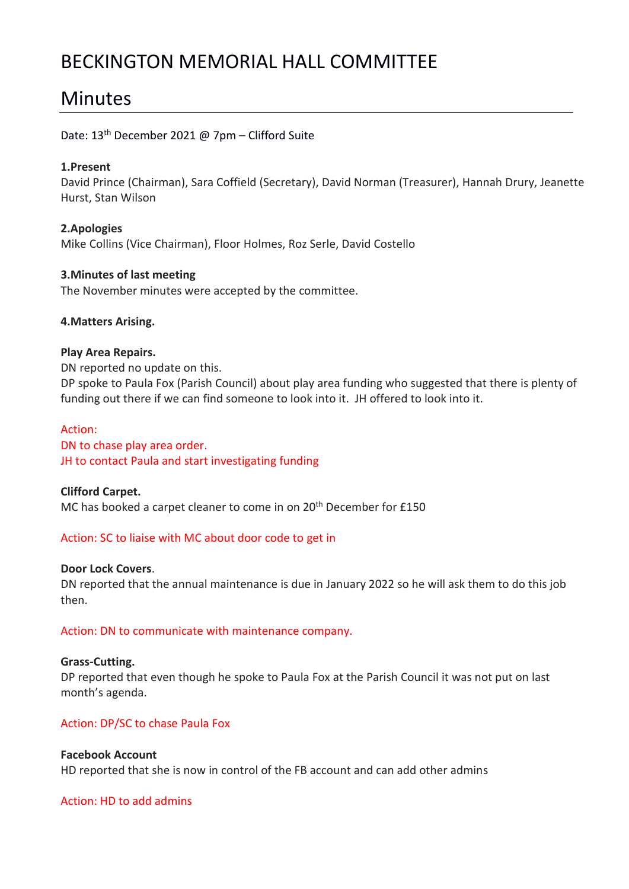# BECKINGTON MEMORIAL HALL COMMITTEE

# Minutes

# Date: 13th December 2021 @ 7pm – Clifford Suite

## **1.Present**

David Prince (Chairman), Sara Coffield (Secretary), David Norman (Treasurer), Hannah Drury, Jeanette Hurst, Stan Wilson

**2.Apologies** Mike Collins (Vice Chairman), Floor Holmes, Roz Serle, David Costello

## **3.Minutes of last meeting**

The November minutes were accepted by the committee.

### **4.Matters Arising.**

### **Play Area Repairs.**

DN reported no update on this. DP spoke to Paula Fox (Parish Council) about play area funding who suggested that there is plenty of funding out there if we can find someone to look into it. JH offered to look into it.

#### Action:

DN to chase play area order. JH to contact Paula and start investigating funding

**Clifford Carpet.** MC has booked a carpet cleaner to come in on 20<sup>th</sup> December for £150

## Action: SC to liaise with MC about door code to get in

#### **Door Lock Covers**.

DN reported that the annual maintenance is due in January 2022 so he will ask them to do this job then.

## Action: DN to communicate with maintenance company.

#### **Grass-Cutting.**

DP reported that even though he spoke to Paula Fox at the Parish Council it was not put on last month's agenda.

## Action: DP/SC to chase Paula Fox

## **Facebook Account**

HD reported that she is now in control of the FB account and can add other admins

## Action: HD to add admins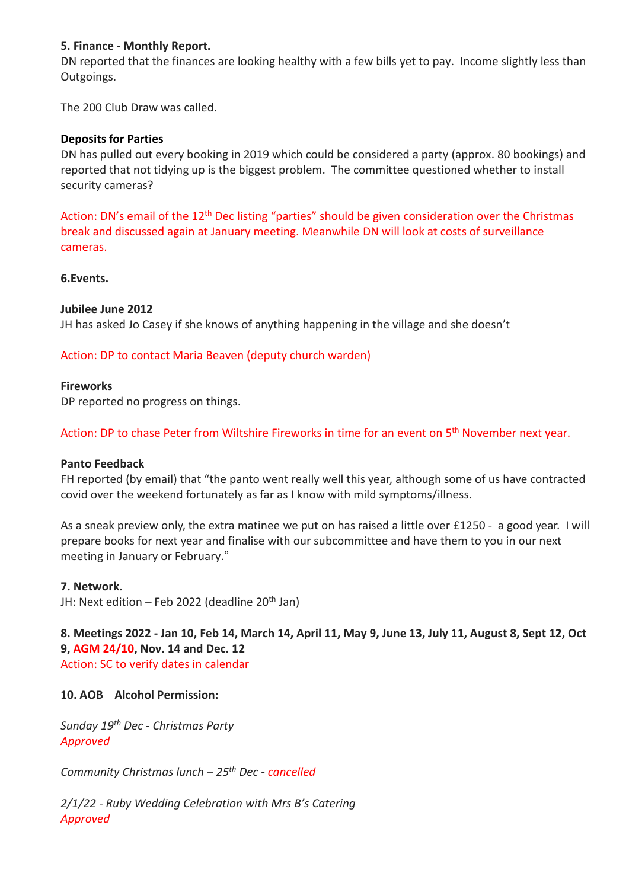## **5. Finance - Monthly Report.**

DN reported that the finances are looking healthy with a few bills yet to pay. Income slightly less than Outgoings.

The 200 Club Draw was called.

## **Deposits for Parties**

DN has pulled out every booking in 2019 which could be considered a party (approx. 80 bookings) and reported that not tidying up is the biggest problem. The committee questioned whether to install security cameras?

Action: DN's email of the 12<sup>th</sup> Dec listing "parties" should be given consideration over the Christmas break and discussed again at January meeting. Meanwhile DN will look at costs of surveillance cameras.

**6.Events.** 

## **Jubilee June 2012**

JH has asked Jo Casey if she knows of anything happening in the village and she doesn't

# Action: DP to contact Maria Beaven (deputy church warden)

## **Fireworks**

DP reported no progress on things.

## Action: DP to chase Peter from Wiltshire Fireworks in time for an event on 5<sup>th</sup> November next year.

## **Panto Feedback**

FH reported (by email) that "the panto went really well this year, although some of us have contracted covid over the weekend fortunately as far as I know with mild symptoms/illness.

As a sneak preview only, the extra matinee we put on has raised a little over £1250 - a good year. I will prepare books for next year and finalise with our subcommittee and have them to you in our next meeting in January or February."

## **7. Network.**

JH: Next edition – Feb 2022 (deadline  $20<sup>th</sup>$  Jan)

**8. Meetings 2022 - Jan 10, Feb 14, March 14, April 11, May 9, June 13, July 11, August 8, Sept 12, Oct 9, AGM 24/10, Nov. 14 and Dec. 12** Action: SC to verify dates in calendar

## **10. AOB Alcohol Permission:**

*Sunday 19th Dec - Christmas Party Approved*

*Community Christmas lunch – 25th Dec - cancelled*

*2/1/22 - Ruby Wedding Celebration with Mrs B's Catering Approved*